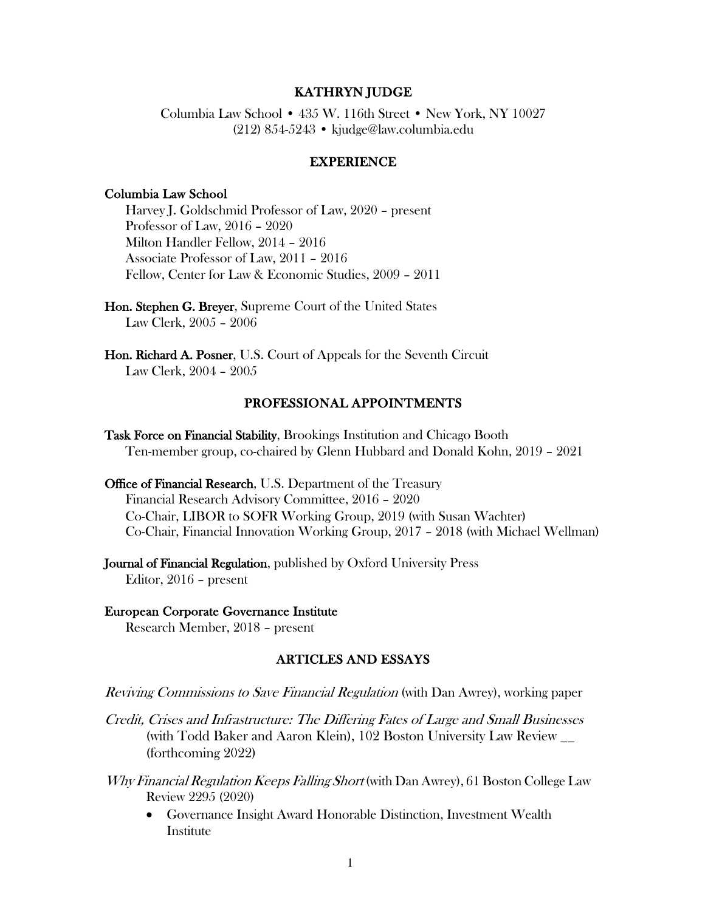### KATHRYN JUDGE

Columbia Law School • 435 W. 116th Street • New York, NY 10027 (212) 854-5243 • kjudge@law.columbia.edu

#### EXPERIENCE

#### Columbia Law School

Harvey J. Goldschmid Professor of Law, 2020 – present Professor of Law, 2016 – 2020 Milton Handler Fellow, 2014 – 2016 Associate Professor of Law, 2011 – 2016 Fellow, Center for Law & Economic Studies, 2009 – 2011

Hon. Stephen G. Breyer, Supreme Court of the United States Law Clerk, 2005 – 2006

Hon. Richard A. Posner, U.S. Court of Appeals for the Seventh Circuit Law Clerk, 2004 – 2005

#### PROFESSIONAL APPOINTMENTS

Task Force on Financial Stability, Brookings Institution and Chicago Booth Ten-member group, co-chaired by Glenn Hubbard and Donald Kohn, 2019 – 2021

Office of Financial Research, U.S. Department of the Treasury Financial Research Advisory Committee, 2016 – 2020 Co-Chair, LIBOR to SOFR Working Group, 2019 (with Susan Wachter) Co-Chair, Financial Innovation Working Group, 2017 – 2018 (with Michael Wellman)

Journal of Financial Regulation, published by Oxford University Press Editor, 2016 – present

#### European Corporate Governance Institute Research Member, 2018 – present

#### ARTICLES AND ESSAYS

Reviving Commissions to Save Financial Regulation (with Dan Awrey), working paper

Credit, Crises and Infrastructure: The Differing Fates of Large and Small Businesses (with Todd Baker and Aaron Klein), 102 Boston University Law Review \_\_ (forthcoming 2022)

- Why Financial Regulation Keeps Falling Short (with Dan Awrey), 61 Boston College Law Review 2295 (2020)
	- Governance Insight Award Honorable Distinction, Investment Wealth **Institute**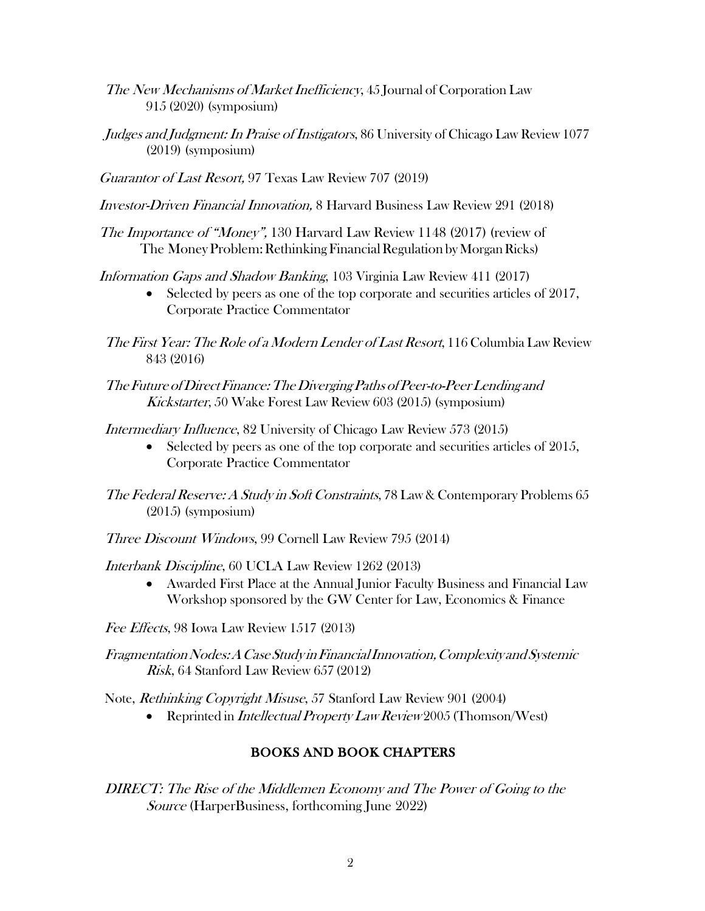- The New Mechanisms of Market Inefficiency, 45 Journal of Corporation Law 915 (2020) (symposium)
- Judges and Judgment: In Praise of Instigators, 86 University of Chicago Law Review 1077 (2019) (symposium)
- Guarantor of Last Resort, 97 Texas Law Review 707 (2019)
- Investor-Driven Financial Innovation, 8 Harvard Business Law Review 291 (2018)
- The Importance of "Money", 130 Harvard Law Review 1148 (2017) (review of The Money Problem: Rethinking Financial Regulation by Morgan Ricks)

Information Gaps and Shadow Banking, 103 Virginia Law Review 411 (2017)

- Selected by peers as one of the top corporate and securities articles of 2017, Corporate Practice Commentator
- The First Year: The Role of a Modern Lender of Last Resort, 116 Columbia Law Review 843 (2016)
- The Future of Direct Finance: The Diverging Paths of Peer-to-Peer Lending and Kickstarter, 50 Wake Forest Law Review 603 (2015) (symposium)

Intermediary Influence, 82 University of Chicago Law Review 573 (2015)

- Selected by peers as one of the top corporate and securities articles of 2015, Corporate Practice Commentator
- The Federal Reserve: A Study in Soft Constraints, 78 Law & Contemporary Problems 65 (2015) (symposium)
- Three Discount Windows, 99 Cornell Law Review 795 (2014)

Interbank Discipline, 60 UCLA Law Review 1262 (2013)

• Awarded First Place at the Annual Junior Faculty Business and Financial Law Workshop sponsored by the GW Center for Law, Economics & Finance

Fee Effects, 98 Iowa Law Review 1517 (2013)

FragmentationNodes:ACaseStudy inFinancialInnovation,ComplexityandSystemic Risk, 64 Stanford Law Review 657 (2012)

Note, Rethinking Copyright Misuse, 57 Stanford Law Review 901 (2004)

• Reprinted in *Intellectual Property Law Review* 2005 (Thomson/West)

## BOOKS AND BOOK CHAPTERS

DIRECT: The Rise of the Middlemen Economy and The Power of Going to the Source (HarperBusiness, forthcoming June 2022)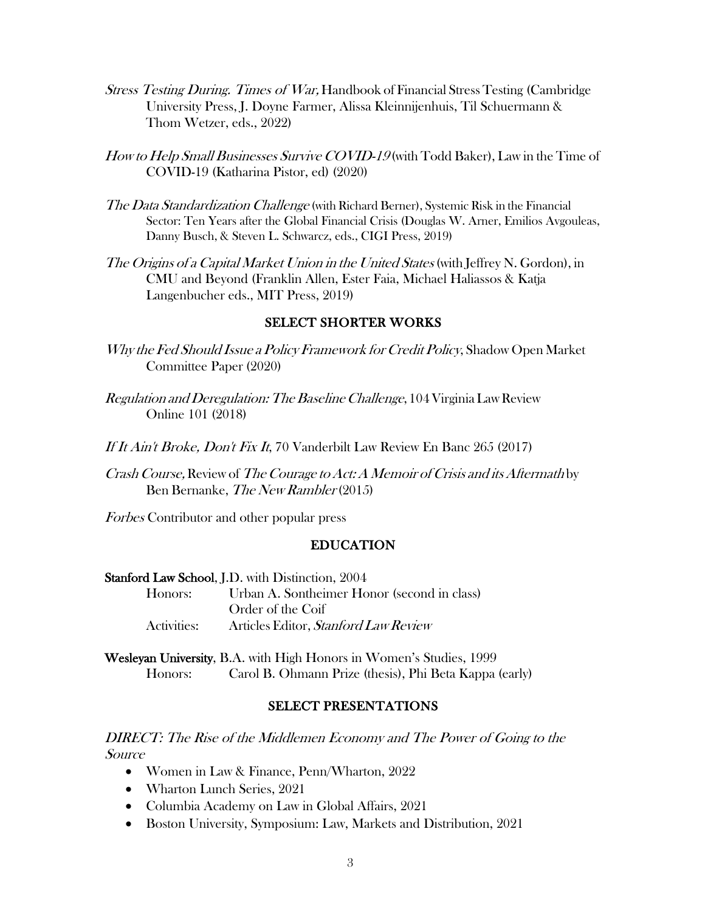- Stress Testing During. Times of War, Handbook of Financial StressTesting (Cambridge University Press, J. Doyne Farmer, Alissa Kleinnijenhuis, Til Schuermann & Thom Wetzer, eds., 2022)
- How to Help Small Businesses Survive COVID-19 (with Todd Baker), Law in the Time of COVID-19 (Katharina Pistor, ed) (2020)
- The Data Standardization Challenge (with Richard Berner), Systemic Risk in the Financial Sector: Ten Years after the Global Financial Crisis (Douglas W. Arner, Emilios Avgouleas, Danny Busch, & Steven L. Schwarcz, eds., CIGI Press, 2019)
- The Origins of a Capital Market Union in the United States (with Jeffrey N. Gordon), in CMU and Beyond (Franklin Allen, Ester Faia, Michael Haliassos & Katja Langenbucher eds., MIT Press, 2019)

### SELECT SHORTER WORKS

- Why the Fed Should Issue <sup>a</sup> Policy Framework forCredit Policy, Shadow Open Market Committee Paper (2020)
- Regulation and Deregulation: The Baseline Challenge, 104 Virginia Law Review Online 101 (2018)
- If It Ain't Broke, Don't Fix It, 70 Vanderbilt Law Review En Banc 265 (2017)
- Crash Course, Review of The Courage to Act: A Memoir of Crisis and its Aftermath by Ben Bernanke, The New Rambler (2015)

Forbes Contributor and other popular press

### EDUCATION

#### Stanford Law School, J.D. with Distinction, 2004

Honors: Urban A. Sontheimer Honor (second in class) Order of the Coif Activities: Articles Editor, Stanford Law Review

Wesleyan University, B.A. with High Honors in Women's Studies, 1999 Honors: Carol B. Ohmann Prize (thesis), Phi Beta Kappa (early)

#### SELECT PRESENTATIONS

DIRECT: The Rise of the Middlemen Economy and The Power of Going to the Source

- Women in Law & Finance, Penn/Wharton, 2022
- Wharton Lunch Series, 2021
- Columbia Academy on Law in Global Affairs, 2021
- Boston University, Symposium: Law, Markets and Distribution, 2021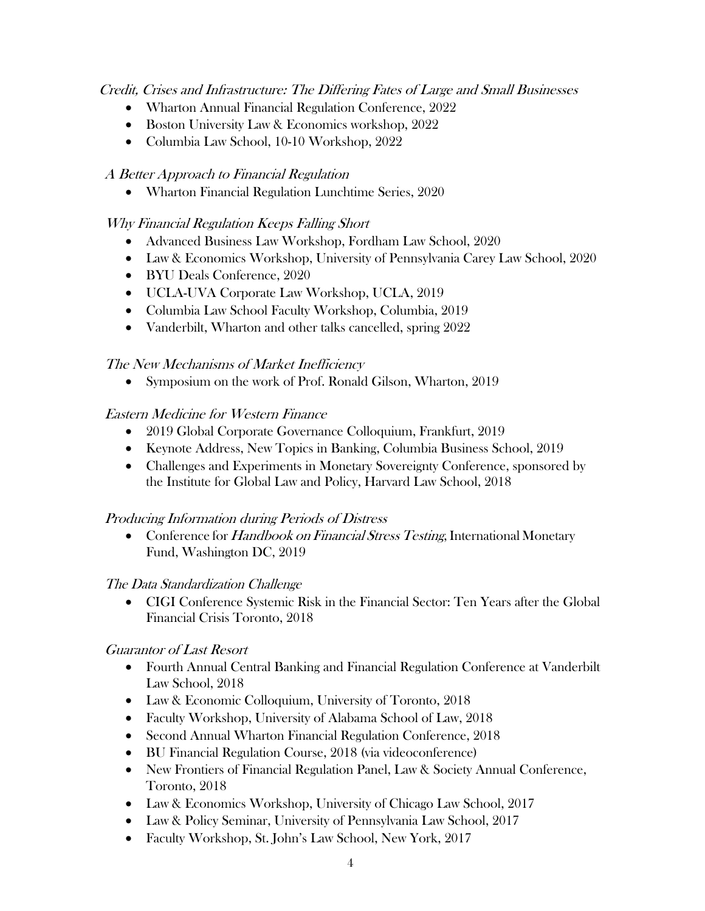Credit, Crises and Infrastructure: The Differing Fates of Large and Small Businesses

- Wharton Annual Financial Regulation Conference, 2022
- Boston University Law & Economics workshop, 2022
- Columbia Law School, 10-10 Workshop, 2022

# A Better Approach to Financial Regulation

• Wharton Financial Regulation Lunchtime Series, 2020

# Why Financial Regulation Keeps Falling Short

- Advanced Business Law Workshop, Fordham Law School, 2020
- Law & Economics Workshop, University of Pennsylvania Carey Law School, 2020
- BYU Deals Conference, 2020
- UCLA-UVA Corporate Law Workshop, UCLA, 2019
- Columbia Law School Faculty Workshop, Columbia, 2019
- Vanderbilt, Wharton and other talks cancelled, spring 2022

# The New Mechanisms of Market Inefficiency

• Symposium on the work of Prof. Ronald Gilson, Wharton, 2019

# Eastern Medicine for Western Finance

- 2019 Global Corporate Governance Colloquium, Frankfurt, 2019
- Keynote Address, New Topics in Banking, Columbia Business School, 2019
- Challenges and Experiments in Monetary Sovereignty Conference, sponsored by the Institute for Global Law and Policy, Harvard Law School, 2018

# Producing Information during Periods of Distress

• Conference for *Handbook on Financial Stress Testing*, International Monetary Fund, Washington DC, 2019

# The Data Standardization Challenge

• CIGI Conference Systemic Risk in the Financial Sector: Ten Years after the Global Financial Crisis Toronto, 2018

# Guarantor of Last Resort

- Fourth Annual Central Banking and Financial Regulation Conference at Vanderbilt Law School, 2018
- Law & Economic Colloquium, University of Toronto, 2018
- Faculty Workshop, University of Alabama School of Law, 2018
- Second Annual Wharton Financial Regulation Conference, 2018
- BU Financial Regulation Course, 2018 (via videoconference)
- New Frontiers of Financial Regulation Panel, Law & Society Annual Conference, Toronto, 2018
- Law & Economics Workshop, University of Chicago Law School, 2017
- Law & Policy Seminar, University of Pennsylvania Law School, 2017
- Faculty Workshop, St. John's Law School, New York, 2017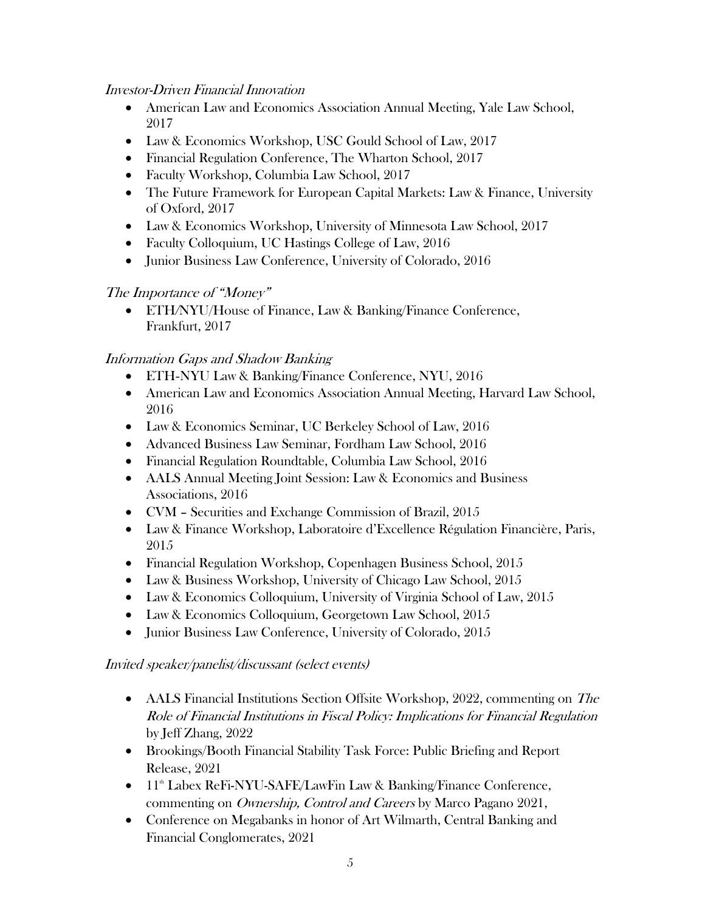## Investor-Driven Financial Innovation

- American Law and Economics Association Annual Meeting, Yale Law School, 2017
- Law & Economics Workshop, USC Gould School of Law, 2017
- Financial Regulation Conference, The Wharton School, 2017
- Faculty Workshop, Columbia Law School, 2017
- The Future Framework for European Capital Markets: Law & Finance, University of Oxford, 2017
- Law & Economics Workshop, University of Minnesota Law School, 2017
- Faculty Colloquium, UC Hastings College of Law, 2016
- Junior Business Law Conference, University of Colorado, 2016

## The Importance of "Money"

• ETH*/*NYU/House of Finance, Law & Banking/Finance Conference, Frankfurt, 2017

# Information Gaps and Shadow Banking

- ETH*-*NYU Law & Banking/Finance Conference, NYU, 2016
- American Law and Economics Association Annual Meeting, Harvard Law School, 2016
- Law & Economics Seminar, UC Berkeley School of Law, 2016
- Advanced Business Law Seminar, Fordham Law School, 2016
- Financial Regulation Roundtable, Columbia Law School, 2016
- AALS Annual Meeting Joint Session: Law & Economics and Business Associations, 2016
- CVM Securities and Exchange Commission of Brazil, 2015
- Law & Finance Workshop, Laboratoire d'Excellence Régulation Financière, Paris, 2015
- Financial Regulation Workshop, Copenhagen Business School, 2015
- Law & Business Workshop, University of Chicago Law School, 2015
- Law & Economics Colloquium, University of Virginia School of Law, 2015
- Law & Economics Colloquium, Georgetown Law School, 2015
- Junior Business Law Conference, University of Colorado, 2015

## Invited speaker/panelist/discussant (select events)

- AALS Financial Institutions Section Offsite Workshop, 2022, commenting on The Role of Financial Institutions in Fiscal Policy: Implications for Financial Regulation by Jeff Zhang, 2022
- Brookings/Booth Financial Stability Task Force: Public Briefing and Report Release, 2021
- 11<sup>th</sup> Labex ReFi-NYU-SAFE/LawFin Law & Banking/Finance Conference, commenting on Ownership, Control and Careers by Marco Pagano 2021,
- Conference on Megabanks in honor of Art Wilmarth, Central Banking and Financial Conglomerates, 2021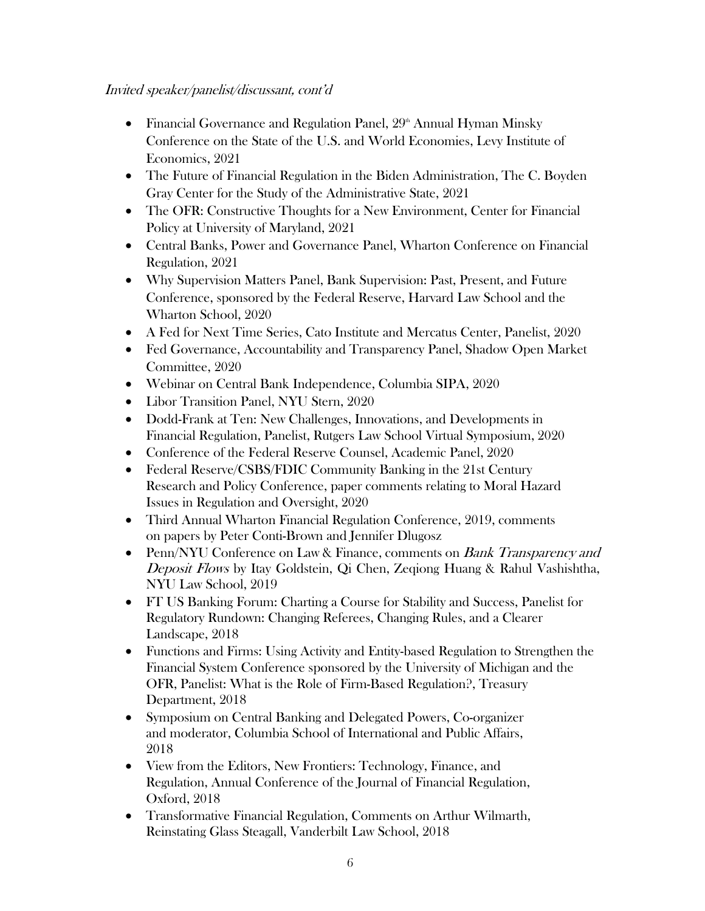### Invited speaker/panelist/discussant, cont'd

- Financial Governance and Regulation Panel,  $29<sup>th</sup>$  Annual Hyman Minsky Conference on the State of the U.S. and World Economies, Levy Institute of Economics, 2021
- The Future of Financial Regulation in the Biden Administration, The C. Boyden Gray Center for the Study of the Administrative State, 2021
- The OFR: Constructive Thoughts for a New Environment, Center for Financial Policy at University of Maryland, 2021
- Central Banks, Power and Governance Panel, Wharton Conference on Financial Regulation, 2021
- Why Supervision Matters Panel, Bank Supervision: Past, Present, and Future Conference, sponsored by the Federal Reserve, Harvard Law School and the Wharton School, 2020
- A Fed for Next Time Series, Cato Institute and Mercatus Center, Panelist, 2020
- Fed Governance, Accountability and Transparency Panel, Shadow Open Market Committee, 2020
- Webinar on Central Bank Independence, Columbia SIPA, 2020
- Libor Transition Panel, NYU Stern, 2020
- Dodd-Frank at Ten: New Challenges, Innovations, and Developments in Financial Regulation, Panelist, Rutgers Law School Virtual Symposium, 2020
- Conference of the Federal Reserve Counsel, Academic Panel, 2020
- Federal Reserve/CSBS/FDIC Community Banking in the 21st Century Research and Policy Conference, paper comments relating to Moral Hazard Issues in Regulation and Oversight, 2020
- Third Annual Wharton Financial Regulation Conference, 2019, comments on papers by Peter Conti-Brown and Jennifer Dlugosz
- Penn/NYU Conference on Law & Finance, comments on *Bank Transparency and* Deposit Flows by Itay Goldstein, Qi Chen, Zeqiong Huang & Rahul Vashishtha, NYU Law School, 2019
- FT US Banking Forum: Charting a Course for Stability and Success, Panelist for Regulatory Rundown: Changing Referees, Changing Rules, and a Clearer Landscape, 2018
- Functions and Firms: Using Activity and Entity-based Regulation to Strengthen the Financial System Conference sponsored by the University of Michigan and the OFR, Panelist: What is the Role of Firm-Based Regulation?, Treasury Department, 2018
- Symposium on Central Banking and Delegated Powers, Co-organizer and moderator, Columbia School of International and Public Affairs, 2018
- View from the Editors, New Frontiers: Technology, Finance, and Regulation, Annual Conference of the Journal of Financial Regulation, Oxford, 2018
- Transformative Financial Regulation, Comments on Arthur Wilmarth, Reinstating Glass Steagall, Vanderbilt Law School, 2018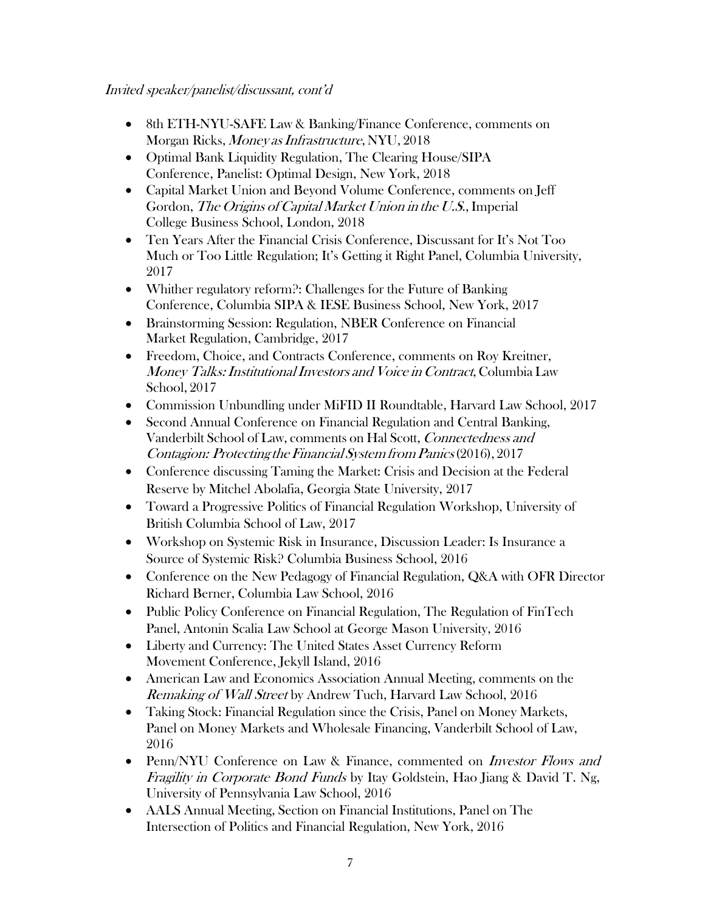- 8th ETH-NYU-SAFE Law & Banking/Finance Conference, comments on Morgan Ricks, Money as Infrastructure, NYU, 2018
- Optimal Bank Liquidity Regulation, The Clearing House/SIPA Conference, Panelist: Optimal Design, New York, 2018
- Capital Market Union and Beyond Volume Conference, comments on Jeff Gordon, *The Origins of Capital Market Union in the U.S.*, Imperial College Business School, London, 2018
- Ten Years After the Financial Crisis Conference, Discussant for It's Not Too Much or Too Little Regulation; It's Getting it Right Panel, Columbia University, 2017
- Whither regulatory reform?: Challenges for the Future of Banking Conference, Columbia SIPA & IESE Business School, New York, 2017
- Brainstorming Session: Regulation, NBER Conference on Financial Market Regulation, Cambridge, 2017
- Freedom, Choice, and Contracts Conference, comments on Roy Kreitner, Money Talks: Institutional Investors and Voice in Contract, Columbia Law School, 2017
- Commission Unbundling under MiFID II Roundtable, Harvard Law School, 2017
- Second Annual Conference on Financial Regulation and Central Banking, Vanderbilt School of Law, comments on Hal Scott, Connectedness and Contagion: Protecting theFinancial System from Panics(2016), 2017
- Conference discussing Taming the Market: Crisis and Decision at the Federal Reserve by Mitchel Abolafia, Georgia State University, 2017
- Toward a Progressive Politics of Financial Regulation Workshop, University of British Columbia School of Law, 2017
- Workshop on Systemic Risk in Insurance, Discussion Leader: Is Insurance a Source of Systemic Risk? Columbia Business School, 2016
- Conference on the New Pedagogy of Financial Regulation, Q&A with OFR Director Richard Berner, Columbia Law School, 2016
- Public Policy Conference on Financial Regulation, The Regulation of FinTech Panel, Antonin Scalia Law School at George Mason University, 2016
- Liberty and Currency: The United States Asset Currency Reform Movement Conference, Jekyll Island, 2016
- American Law and Economics Association Annual Meeting, comments on the Remaking of Wall Street by Andrew Tuch, Harvard Law School, 2016
- Taking Stock: Financial Regulation since the Crisis, Panel on Money Markets, Panel on Money Markets and Wholesale Financing, Vanderbilt School of Law, 2016
- Penn/NYU Conference on Law & Finance, commented on *Investor Flows and* Fragility in Corporate Bond Funds by Itay Goldstein, Hao Jiang & David T. Ng, University of Pennsylvania Law School, 2016
- AALS Annual Meeting, Section on Financial Institutions, Panel on The Intersection of Politics and Financial Regulation, New York, 2016